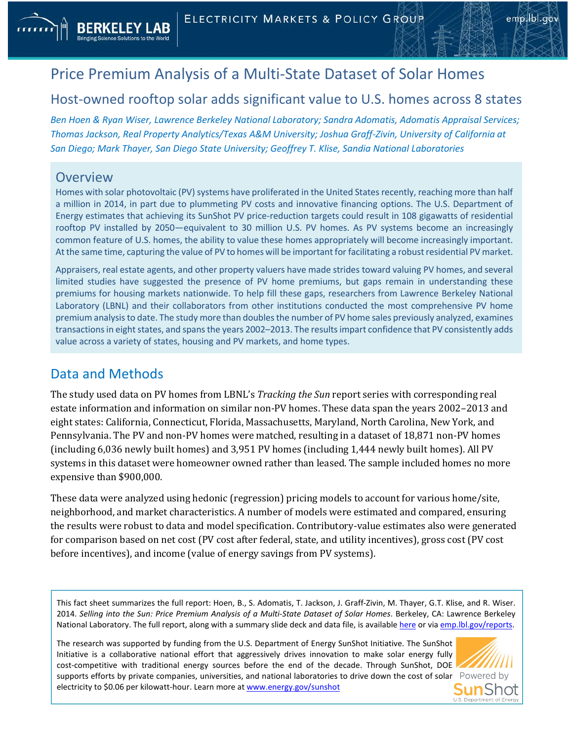## Price Premium Analysis of a Multi-State Dataset of Solar Homes

## Host-owned rooftop solar adds significant value to U.S. homes across 8 states

*Ben Hoen & Ryan Wiser, Lawrence Berkeley National Laboratory; Sandra Adomatis, Adomatis Appraisal Services; Thomas Jackson, Real Property Analytics/Texas A&M University; Joshua Graff-Zivin, University of California at San Diego; Mark Thayer, San Diego State University; Geoffrey T. Klise, Sandia National Laboratories*

## **Overview**

Homes with solar photovoltaic (PV) systems have proliferated in the United States recently, reaching more than half a million in 2014, in part due to plummeting PV costs and innovative financing options. The U.S. Department of Energy estimates that achieving its SunShot PV price-reduction targets could result in 108 gigawatts of residential rooftop PV installed by 2050—equivalent to 30 million U.S. PV homes. As PV systems become an increasingly common feature of U.S. homes, the ability to value these homes appropriately will become increasingly important. At the same time, capturing the value of PV to homes will be important for facilitating a robust residential PV market.

Appraisers, real estate agents, and other property valuers have made strides toward valuing PV homes, and several limited studies have suggested the presence of PV home premiums, but gaps remain in understanding these premiums for housing markets nationwide. To help fill these gaps, researchers from Lawrence Berkeley National Laboratory (LBNL) and their collaborators from other institutions conducted the most comprehensive PV home premium analysis to date. The study more than doubles the number of PV home sales previously analyzed, examines transactions in eight states, and spans the years 2002–2013. The results impart confidence that PV consistently adds value across a variety of states, housing and PV markets, and home types.

## Data and Methods

The study used data on PV homes from LBNL's *Tracking the Sun* report series with corresponding real estate information and information on similar non-PV homes. These data span the years 2002–2013 and eight states: California, Connecticut, Florida, Massachusetts, Maryland, North Carolina, New York, and Pennsylvania. The PV and non-PV homes were matched, resulting in a dataset of 18,871 non-PV homes (including 6,036 newly built homes) and 3,951 PV homes (including 1,444 newly built homes). All PV systems in this dataset were homeowner owned rather than leased. The sample included homes no more expensive than \$900,000.

These data were analyzed using hedonic (regression) pricing models to account for various home/site, neighborhood, and market characteristics. A number of models were estimated and compared, ensuring the results were robust to data and model specification. Contributory-value estimates also were generated for comparison based on net cost (PV cost after federal, state, and utility incentives), gross cost (PV cost before incentives), and income (value of energy savings from PV systems).

This fact sheet summarizes the full report: Hoen, B., S. Adomatis, T. Jackson, J. Graff-Zivin, M. Thayer, G.T. Klise, and R. Wiser. 2014. *Selling into the Sun: Price Premium Analysis of a Multi-State Dataset of Solar Homes*. Berkeley, CA: Lawrence Berkeley National Laboratory. The full report, along with a summary slide deck and data file, is available [here](http://emp.lbl.gov/publications/selling-sun-price-premium) or via emp.lbl.gov/reports.

The research was supported by funding from the U.S. Department of Energy SunShot Initiative. The SunShot Initiative is a collaborative national effort that aggressively drives innovation to make solar energy fully cost-competitive with traditional energy sources before the end of the decade. Through SunShot, DOE supports efforts by private companies, universities, and national laboratories to drive down the cost of solar Powered by electricity to \$0.06 per kilowatt-hour. Learn more a[t www.energy.gov/sunshot](http://www.energy.gov/sunshot)